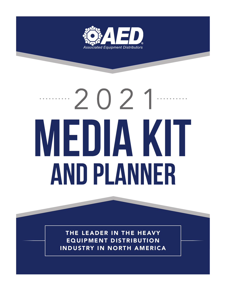

# $\cdots 2021$ MEDIA KIT AND PLANNER

THE LEADER IN THE HEAVY EQUIPMENT DISTRIBUTION INDUSTRY IN NORTH AMERICA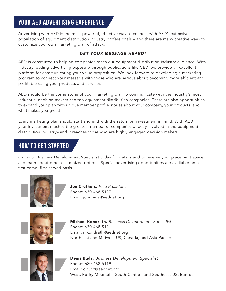## **Your AED Advertising Experience**

Advertising with AED is the most powerful, effective way to connect with AED's extensive population of equipment distribution industry professionals – and there are many creative ways to customize your own marketing plan of attack.

#### *GET YOUR MESSAGE HEARD!*

AED is committed to helping companies reach our equipment distribution industry audience. With industry leading advertising exposure through publications like CED, we provide an excellent platform for communicating your value proposition. We look forward to developing a marketing program to connect your message with those who are serious about becoming more efficient and profitable using your products and services.

AED should be the cornerstone of your marketing plan to communicate with the industry's most influential decision-makers and top equipment distribution companies. There are also opportunities to expand your plan with unique member profile stories about your company, your products, and what makes you great!

Every marketing plan should start and end with the return on investment in mind. With AED, your investment reaches the greatest number of companies directly involved in the equipment distribution industry– and it reaches those who are highly engaged decision makers.

### **HOW TO GET STARTED**

Call your Business Development Specialist today for details and to reserve your placement space and learn about other customized options. Special advertising opportunities are available on a first-come, first-served basis.



Jon Cruthers, *Vice President*  Phone: 630-468-5127 Email: jcruthers@aednet.org



Michael Kondrath, *Business Development Specialist*  Phone: 630-468-5121 Email: mkondrath@aednet.org Northeast and Midwest US, Canada, and Asia-Pacific



Denis Budz, *Business Development Specialist*  Phone: 630-468-5119 Email: dbudz@aednet.org West, Rocky Mountain. South Central, and Southeast US, Europe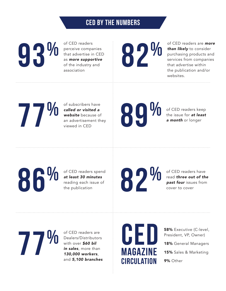## **CED BY THE NUMBERS**

**93%**

of CED readers perceive companies that advertise in CED as *more supportive* of the industry and association

**82%**

of CED readers are *more than likely* to consider purchasing products and services from companies that advertise within the publication and/or websites.

**77%**

of subscribers have *called or visited a website* because of an advertisement they viewed in CED

**89%**

of CED readers keep the issue for *at least a month* or longer

of CED readers spend *at least 30 minutes*  reading each issue of the publication

**86% 86% 86% 86% 86% 86% 86% 86% 86% 86% 86% 86% 86% 86% 86% 86% 86% 86% 86% 86% 86% 86% 86% 86% 86% 86% 86% 86% 86% 86% 86% 86% 86% 86% 86% 86% 86%**

of CED readers have read *three out of the past four* issues from cover to cover

**77%**

of CED readers are Dealers/Distributors with over *\$60 bil in sales*, more than *130,000 workers*, and *5,100 branches*



58% Executive (C-level, President, VP, Owner)

18% General Managers

15% Sales & Marketing

9% Other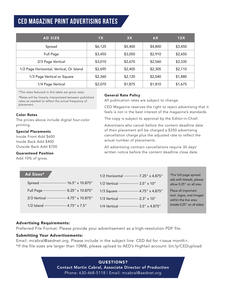## **CED MAGAZINE PRINT ADVERTISING RATES**

| <b>AD SIZE</b>                           | 1X      | 3X      | 6X      | 12X     |
|------------------------------------------|---------|---------|---------|---------|
| Spread                                   | \$6,125 | \$5,400 | \$4,800 | \$3,450 |
| <b>Full Page</b>                         | \$3,450 | \$3,050 | \$2,910 | \$2,650 |
| 2/3 Page Vertical                        | \$3,010 | \$2,670 | \$2,560 | \$2,335 |
| 1/2 Page Horizontal, Vertical, Or Island | \$2,695 | \$2,405 | \$2,305 | \$2,110 |
| 1/3 Page Vertical or Square              | \$2,360 | \$2,120 | \$2,040 | \$1,880 |
| 1/4 Page Vertical                        | \$2,070 | \$1,875 | \$1,810 | \$1,675 |

\*The rates featured in this table are gross rates.

\*Rates will be linearly interpolated between published rates as needed to reflect the actual frequency of placement.

#### Color Rates

The prices above include digital four-color printing.

#### Special Placements

Inside Front Add \$600 Inside Back Add \$400 Outside Back Add \$700

#### Guaranteed Position

Add 10% of gross.

#### General Rate Policy

All publication rates are subject to change.

CED Magazine reserves the right to reject advertising that it feels is not in the best interest of the magazine's standards.

The copy is subject to approval by the Editor-in-Chief.

Advertisers who cancel before the content deadline date of their placement will be charged a \$350 advertising cancellation charge plus the adjusted rate to reflect the actual number of placements.

All advertising contract cancellations require 30 days' written notice before the content deadline close date.

| Ad Sizes*                             | 1/2 Horizontal - 7.25" x 4.875"          | *For full page spread<br>ads with bleeds, please |
|---------------------------------------|------------------------------------------|--------------------------------------------------|
|                                       | 1/2 Vertical $\frac{1}{2}$ 3.5" x 10"    | allow 0.25" on all size.                         |
| Full Page - 8.25" x 10.875"           | 1/3 Square - 4.75" x 4.875"              | Place all important                              |
| 2/3 Vertical $-$ 4.75" x 10.875"      | 1/3 Vertical $\frac{\ }{\ }$ 2.3" x 10"  | text, logos, and images<br>within the live area  |
| 1/2 Island $\frac{1}{2}$ 4.75" x 7.5" | 1/4 Vertical $\frac{1}{2}$ 3.5" x 4.875" | (inside 0.25" on all sides)                      |

#### Advertising Requirements:

Preferred File Format: Please provide your advertisement as a high-resolution PDF file.

#### Submitting Your Advertisements:

Email: mcabral@aednet.org. Please include in the subject line: CED Ad for <issue month>. \*If the file sizes are larger than 10MB, please upload to AED's Hightail account: bit.ly/CEDupload

> QUESTIONS? Contact Martin Cabral, Associate Director of Production Phone: 630-468-5118 | Email: mcabral@aednet.org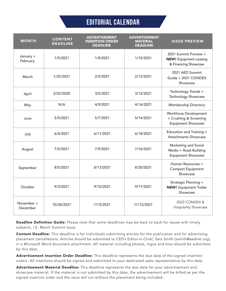## **editorial calendar**

| <b>MONTH</b>           | <b>CONTENT</b><br><b>DEADLINE</b> | <b>ADVERTISEMENT</b><br><b>INSERTION ORDER</b><br><b>DEADLINE</b> | <b>ADVERTISEMENT</b><br><b>MATERIAL</b><br><b>DEADLINE</b> | <b>ISSUE PREVIEW</b>                                                                |
|------------------------|-----------------------------------|-------------------------------------------------------------------|------------------------------------------------------------|-------------------------------------------------------------------------------------|
| January +<br>February  | 1/5/2021                          | 1/8/2021                                                          | 1/15/2021                                                  | 2021 Summit Preview +<br><b>NEW!</b> Equipment Leasing<br>& Financing Showcase      |
| March                  | 1/25/2021                         | 2/5/2021                                                          | 2/12/2021                                                  | 2021 AED Summit<br>Guide + 2021 CONDEX<br>Showcase                                  |
| April                  | 2/22/2020                         | 3/5/2021                                                          | 3/12/2021                                                  | Technology Trends +<br><b>Technology Showcase</b>                                   |
| May                    | N/A                               | 4/9/2021                                                          | 4/16/2021                                                  | <b>Membership Directory</b>                                                         |
| June                   | 5/5/2021                          | 5/7/2021                                                          | 5/14/2021                                                  | <b>Workforce Development</b><br>+ Crushing & Screening<br><b>Equipment Showcase</b> |
| July                   | 6/4/2021                          | 6/11/2021                                                         | 6/18/2021                                                  | Education and Training +<br><b>Attachments Showcase</b>                             |
| August                 | 7/5/2021                          | 7/9/2021                                                          | 7/16/2021                                                  | Marketing and Social<br>Media + Road Building<br><b>Equipment Showcase</b>          |
| September              | 8/5/2021                          | 8/13/2021                                                         | 8/20/2021                                                  | Human Resources +<br><b>Compact Equipment</b><br>Showcase                           |
| October                | 9/3/2021                          | 9/10/2021                                                         | 9/17/2021                                                  | Strategic Planning +<br><b>NEW!</b> Equipment Trailer<br>Showcase                   |
| November +<br>December | 10/28/2021                        | 11/5/2021                                                         | 11/12/2021                                                 | 2022 CONDEX &<br>Hospitality Showcase                                               |

Deadline Definition Guide: Please note that some deadlines may be back to back for issues with timely subjects, I.E. March Summit Issue.

Content Deadline: This deadline is for individuals submitting articles for the publication and for advertising placement cancellations. Articles should be submitted to CED's Editor-in-Chief, Sara Smith (ssmith@aednet.org), in a Microsoft Word document attachment. All material including photos, logos and bios should be submitted by this date.

Advertisement Insertion Order Deadline: This deadline represents the due date of the signed insertion orders. All insertions should be signed and submitted to your dedicated sales representative by this date.

Advertisement Material Deadline: This deadline represents the due date for your advertisement and showcase material. If the material is not submitted by this date, the advertisement will be billed as per the signed insertion order and the issue will run without the placement being included.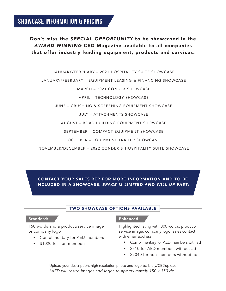Don't miss the *SPECIAL OPPORTUNITY* to be showcased in the *AWARD WINNING* CED Magazine available to all companies that offer industry leading equipment, products and services.

JANUARY/FEBRUARY – 2021 HOSPITALITY SUITE SHOWCASE

JANUARY/FEBRUARY – EQUIPMENT LEASING & FINANCING SHOWCASE

#### MARCH – 2021 CONDEX SHOWCASE

APRIL – TECHNOLOGY SHOWCASE

JUNE – CRUSHING & SCREENING EQUIPMENT SHOWCASE

JULY – ATTACHMENTS SHOWCASE

AUGUST – ROAD BUILDING EQUIPMENT SHOWCASE

SEPTEMBER – COMPACT EQUIPMENT SHOWCASE

OCTOBER – EQUIPMENT TRAILER SHOWCASE

NOVEMBER/DECEMBER – 2022 CONDEX & HOSPITALITY SUITE SHOWCASE

#### CONTACT YOUR SALES REP FOR MORE INFORMATION AND TO BE INCLUDED IN A SHOWCASE, *SPACE IS LIMITED AND WILL UP FAST!*

#### TWO SHOWCASE OPTIONS AVAILABLE

#### Standard:

150 words and a product/service image or company logo

- Complimentary for AED members
- \$1020 for non-members

#### Enhanced:

Highlighted listing with 300 words, product/ service image, company logo, sales contact with email address

- Complimentary for AED members with ad
- \$510 for AED members without ad
- \$2040 for non-members without ad

Upload your description, high resolution photo and logo to: bit.ly/CEDupload *\*AED will resize images and logos to approximately 150 x 150 dpi.*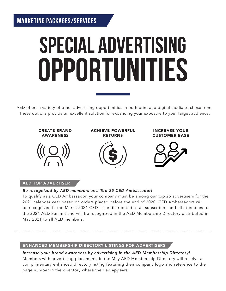## **SPECIAL ADVERTISING** OPPORTUNITIES

AED offers a variety of other advertising opportunities in both print and digital media to chose from. These options provide an excellent solution for expanding your exposure to your target audience.



#### AED TOP ADVERTISER

#### *Be recognized by AED members as a Top 25 CED Ambassador!*

To qualify as a CED Ambassador, your company must be among our top 25 advertisers for the 2021 calendar year based on orders placed before the end of 2020. CED Ambassadors will be recognized in the March 2021 CED issue distributed to all subscribers and all attendees to the 2021 AED Summit and will be recognized in the AED Membership Directory distributed in May 2021 to all AED members.

#### ENHANCED MEMBERSHIP DIRECTORY LISTINGS FOR ADVERTISERS

#### *Increase your brand awareness by advertising in the AED Membership Directory!*

Members with advertising placements in the May AED Membership Directory will receive a complimentary enhanced directory listing featuring their company logo and reference to the page number in the directory where their ad appears.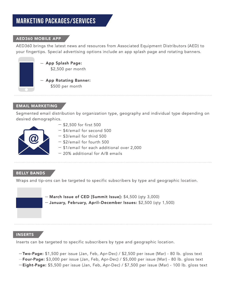## **Marketing Packages/Services**

#### AED360 MOBILE APP

AED360 brings the latest news and resources from Associated Equipment Distributors (AED) to your fingertips. Special advertising options include an app splash page and rotating banners.



\$2,500 per month

App Rotating Banner: \$500 per month

#### EMAIL MARKETING

Segmented email distribution by organization type, geography and individual type depending on desired demographics.



- $-$  \$2,500 for first 500
- $-$  \$4/email for second 500
- $-$  \$3/email for third 500
- $-$  \$2/email for fourth 500
- \$1/email for each additional over 2,000
- 20% additional for A/B emails

#### BELLY BANDS

Wraps and tip-ons can be targeted to specific subscribers by type and geographic location.

 $-$  March Issue of CED [Summit Issue]: \$4,500 (qty 3,000) January, February, April–December Issues: \$2,500 (qty 1,500)

#### INSERTS

Inserts can be targeted to specific subscribers by type and geographic location.

- -Two-Page: \$1,500 per issue (Jan, Feb, Apr-Dec) / \$2,500 per issue (Mar) 80 lb. gloss text
- -Four-Page: \$3,000 per issue (Jan, Feb, Apr-Dec) / \$5,000 per issue (Mar) 80 lb. gloss text
- -Eight-Page: \$5,500 per issue (Jan, Feb, Apr-Dec) / \$7,500 per issue (Mar) 100 lb. gloss text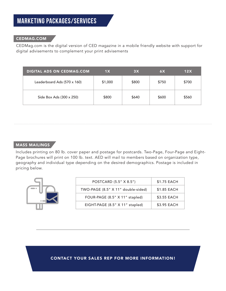#### CEDMAG.COM

CEDMag.com is the digital version of CED magazine in a mobile friendly website with support for digital advisements to complement your print advisements

| <b>DIGITAL ADS ON CEDMAG.COM</b> | 1X      | 3X    | 6X    | 12X   |
|----------------------------------|---------|-------|-------|-------|
| Leaderboard Ads (570 x 160)      | \$1,000 | \$800 | \$750 | \$700 |
| Side Box Ads (300 x 250)         | \$800   | \$640 | \$600 | \$560 |

#### **MASS MAILINGS**

Includes printing on 80 lb. cover paper and postage for postcards. Two-Page, Four-Page and Eight-Page brochures will print on 100 lb. text. AED will mail to members based on organization type, geography and individual type depending on the desired demographics. Postage is included in pricing below.

| POSTCARD (5.5" X 8.5")             | \$1.75 EACH |
|------------------------------------|-------------|
| TWO-PAGE (8.5" X 11" double-sided) | \$1.85 EACH |
| FOUR-PAGE (8.5" X 11" stapled)     | \$3.55 EACH |
| EIGHT-PAGE (8.5" X 11" stapled)    | \$3.95 EACH |
|                                    |             |

CONTACT YOUR SALES REP FOR MORE INFORMATION!